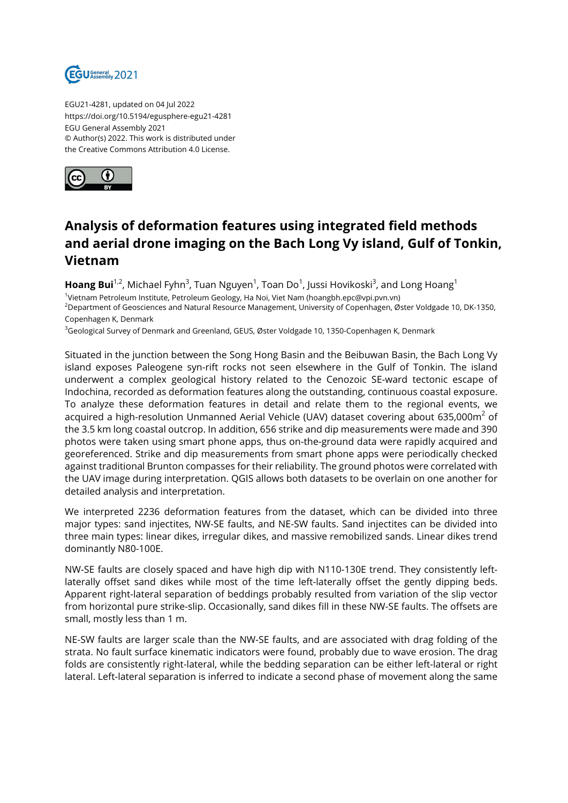

EGU21-4281, updated on 04 Jul 2022 https://doi.org/10.5194/egusphere-egu21-4281 EGU General Assembly 2021 © Author(s) 2022. This work is distributed under the Creative Commons Attribution 4.0 License.



## **Analysis of deformation features using integrated field methods and aerial drone imaging on the Bach Long Vy island, Gulf of Tonkin, Vietnam**

**Hoang Bui**<sup>1,2</sup>, Michael Fyhn<sup>3</sup>, Tuan Nguyen<sup>1</sup>, Toan Do<sup>1</sup>, Jussi Hovikoski<sup>3</sup>, and Long Hoang<sup>1</sup> 1 Vietnam Petroleum Institute, Petroleum Geology, Ha Noi, Viet Nam (hoangbh.epc@vpi.pvn.vn) <sup>2</sup>Department of Geosciences and Natural Resource Management, University of Copenhagen, Øster Voldgade 10, DK-1350, Copenhagen K, Denmark

<sup>3</sup>Geological Survey of Denmark and Greenland, GEUS, Øster Voldgade 10, 1350-Copenhagen K, Denmark

Situated in the junction between the Song Hong Basin and the Beibuwan Basin, the Bach Long Vy island exposes Paleogene syn-rift rocks not seen elsewhere in the Gulf of Tonkin. The island underwent a complex geological history related to the Cenozoic SE-ward tectonic escape of Indochina, recorded as deformation features along the outstanding, continuous coastal exposure. To analyze these deformation features in detail and relate them to the regional events, we acquired a high-resolution Unmanned Aerial Vehicle (UAV) dataset covering about 635,000m $^2$  of the 3.5 km long coastal outcrop. In addition, 656 strike and dip measurements were made and 390 photos were taken using smart phone apps, thus on-the-ground data were rapidly acquired and georeferenced. Strike and dip measurements from smart phone apps were periodically checked against traditional Brunton compasses for their reliability. The ground photos were correlated with the UAV image during interpretation. QGIS allows both datasets to be overlain on one another for detailed analysis and interpretation.

We interpreted 2236 deformation features from the dataset, which can be divided into three major types: sand injectites, NW-SE faults, and NE-SW faults. Sand injectites can be divided into three main types: linear dikes, irregular dikes, and massive remobilized sands. Linear dikes trend dominantly N80-100E.

NW-SE faults are closely spaced and have high dip with N110-130E trend. They consistently leftlaterally offset sand dikes while most of the time left-laterally offset the gently dipping beds. Apparent right-lateral separation of beddings probably resulted from variation of the slip vector from horizontal pure strike-slip. Occasionally, sand dikes fill in these NW-SE faults. The offsets are small, mostly less than 1 m.

NE-SW faults are larger scale than the NW-SE faults, and are associated with drag folding of the strata. No fault surface kinematic indicators were found, probably due to wave erosion. The drag folds are consistently right-lateral, while the bedding separation can be either left-lateral or right lateral. Left-lateral separation is inferred to indicate a second phase of movement along the same